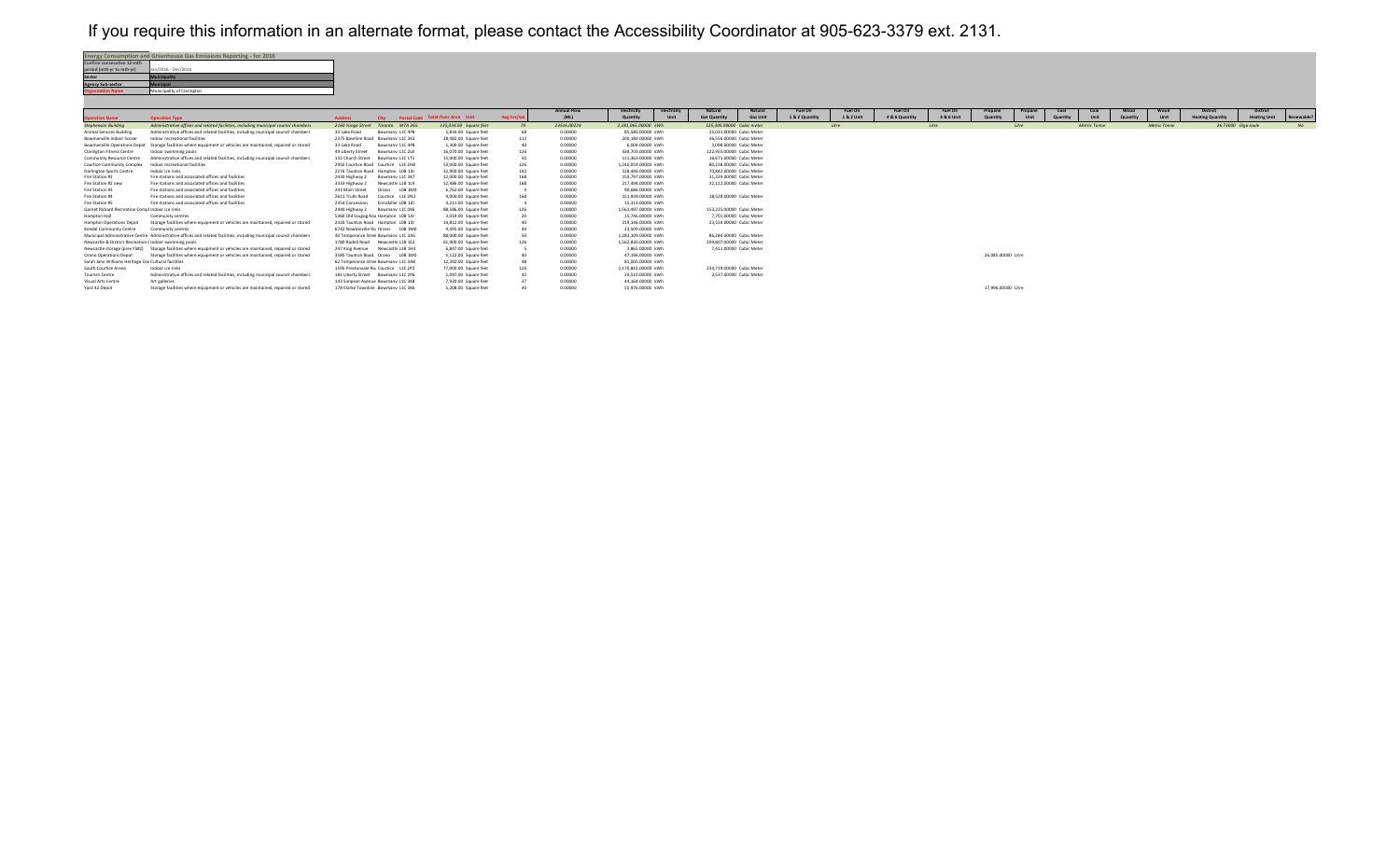## If you require this information in an alternate format, please contact the Accessibility Coordinator at 905-623-3379 ext. 2131.



|                                                        |                                                                                                                     |                                       |                     |                                        |            | <b>Annual Flow</b> | Electricity         | Electricity | Natural                   | Natural         | <b>Fuel Oil</b> | <b>Fuel Oil</b> | <b>Fuel Oil</b> | <b>Fuel Oil</b> | Propane            | Propane | Coal | Coal                | Wood | Wood                | <b>District</b>         | <b>District</b>     |            |
|--------------------------------------------------------|---------------------------------------------------------------------------------------------------------------------|---------------------------------------|---------------------|----------------------------------------|------------|--------------------|---------------------|-------------|---------------------------|-----------------|-----------------|-----------------|-----------------|-----------------|--------------------|---------|------|---------------------|------|---------------------|-------------------------|---------------------|------------|
| neration Name                                          | <b>Operation Type</b>                                                                                               | <b>Address</b>                        |                     | City Postal Code Total Floor Area Unit | Avg hrs/wk | (ML)               | Quantity            | Unit        | <b>Gas Quantity</b>       | <b>Gas Unit</b> | 1 & 2 Quantity  | 1 & 2 Unit      | 4 & 6 Quantity  | 4 & 6 Unit      |                    | Unit    |      | Unit                |      | Unit                | <b>Heating Quantity</b> | <b>Heating Unit</b> | Renewable? |
| <b>Stephenson Building</b>                             | Administrative offices and related facilities, including municipal council chambers                                 | 2160 Yonge Street Toronto M7A 2G5     |                     | 135.034.00 Square feet                 |            | 23516.00224        | 2.181.065.00000 kWh |             | 125.300.00000 Cubic meter |                 |                 | Litre           |                 | Litre           |                    | Litre   |      | <b>Metric Tonne</b> |      | <b>Metric Tonne</b> | 26.73000 Giga Joule     |                     | NQ         |
| Animal Services Building                               | Administrative offices and related facilities, including municipal council chambers                                 | 33 Lake Road                          | Bowmany L1C 4P8     | 5.834.00 Square feet                   |            | 0.00000            | 85.580.00000. kWh   |             | 25.031.00000. Cubic Meter |                 |                 |                 |                 |                 |                    |         |      |                     |      |                     |                         |                     |            |
| Bowmanville Indoor Soccer                              | Indoor recreational facilities                                                                                      | 2375 Baseline Road Bowmany L1C 3K3    |                     | 28.482.00 Square feet                  | 112        | 0.00000            | 200.189.00000 kWh   |             | 46.556.00000 Cubic Meter  |                 |                 |                 |                 |                 |                    |         |      |                     |      |                     |                         |                     |            |
| Bowmanville Operations Depot                           | Storage facilities where equipment or vehicles are maintained, repaired or stored                                   | 33 Lake Road                          | Bowmany L1C 4P8     | 1.300.00 Square feet                   |            | 0.00000            | 6.004.00000. kWh    |             | 3.098.00000 Cubic Meter   |                 |                 |                 |                 |                 |                    |         |      |                     |      |                     |                         |                     |            |
| <b>Clarington Fitness Centre</b>                       | Indoor swimming pools                                                                                               | 49 Liberty Street                     | Bowmany L1C 2L8     | 16.070.00 Square feet                  | 126        | 0.00000            | 438.703.00000 kWh   |             | 122.955.00000 Cubic Meter |                 |                 |                 |                 |                 |                    |         |      |                     |      |                     |                         |                     |            |
| Community Resource Centre                              | Administrative offices and related facilities, including municipal council chambers                                 | 132 Church Street                     | Bowmany 11C 1TS     | 15,000.00 Square feet                  | 50         | 0.00000            | 111 363 00000 kWh   |             | 16.671.00000 Cubic Meter  |                 |                 |                 |                 |                 |                    |         |      |                     |      |                     |                         |                     |            |
| <b>Courtice Community Complex</b>                      | Indoor recreational facilities                                                                                      | 2950 Courtice Road Courtice L1E 2H8   |                     | 53,000.00 Square feet                  | 126        | 0.00000            | 1.240.059.00000 kWh |             | 80.238.00000 Cubic Meter  |                 |                 |                 |                 |                 |                    |         |      |                     |      |                     |                         |                     |            |
| Darlington Sports Centre                               | Indoor ice rinks                                                                                                    | 2276 Taunton Road Hampton LOB 1JD     |                     | 32.900.00 Square feet                  | 102        | 0.00000            | 518 446 00000 kWh   |             | 70 842 00000 Cubic Meter  |                 |                 |                 |                 |                 |                    |         |      |                     |      |                     |                         |                     |            |
| Fire Station #1                                        | Fire stations and associated offices and facilities                                                                 | 2430 Highway 2                        | Bowmany L1C 3K7     | 12.000.00 Square feet                  | 168        | 0.00000            | 159,797,00000 kWh   |             | 31.329.00000 Cubic Meter  |                 |                 |                 |                 |                 |                    |         |      |                     |      |                     |                         |                     |            |
| Fire Station #2 new                                    | Fire stations and associated offices and facilities                                                                 | 3333 Highway 2                        | Newcastle L1B 1L9   | 12.486.00 Square feet                  | 168        | 0.00000            | 217 494 00000 kWh   |             | 32.112.00000 Cubic Meter  |                 |                 |                 |                 |                 |                    |         |      |                     |      |                     |                         |                     |            |
| Fire Station #3                                        | Fire stations and associated offices and facilities                                                                 | 243 Main Street                       | Orono LOB 1MO       | 6.762.00 Square feet                   |            | 0.00000            | 90.686.00000. kWh   |             |                           |                 |                 |                 |                 |                 |                    |         |      |                     |      |                     |                         |                     |            |
| Fire Station #4                                        | Fire stations and associated offices and facilities                                                                 | 2611 Trulls Road                      | Courtice L1E 2N3    | 9,000.00 Square feet                   | 168        | 0.00000            | 151,939,00000 kWh   |             | 18.528.00000 Cubic Meter  |                 |                 |                 |                 |                 |                    |         |      |                     |      |                     |                         |                     |            |
| Fire Station #5                                        | Fire stations and associated offices and facilities                                                                 | 2354 Concession                       | Fnniskiller JOB 110 | 4.211.00 Square feet                   |            | 0.00000            | 15.313.00000 kWh    |             |                           |                 |                 |                 |                 |                 |                    |         |      |                     |      |                     |                         |                     |            |
| Garnet Rickard Recreation Compl Indoor ice rinks       |                                                                                                                     | 2440 Highway 2                        | Bowmany L1C 0K6     | 88,586.00 Square feet                  | 126        | 0.00000            | 1.561.497.00000 kWh |             | 153.225.00000 Cubic Meter |                 |                 |                 |                 |                 |                    |         |      |                     |      |                     |                         |                     |            |
| Hampton Hall                                           | Community centres                                                                                                   | 5360 Old Scugog Roa Hampton LOB 1JD   |                     | 3.059.00 Square feet                   |            | 0.00000            | 15.746.00000. kWh   |             | 7.701.00000 Cubic Meter   |                 |                 |                 |                 |                 |                    |         |      |                     |      |                     |                         |                     |            |
| Hampton Operations Depot                               | Storage facilities where equipment or vehicles are maintained, repaired or stored                                   | 2320 Taunton Road Hampton LOB 1JD     |                     | 14.812.00 Square feet                  |            | 0.00000            | 219.146.00000 kWh   |             | 23.554.00000 Cubic Meter  |                 |                 |                 |                 |                 |                    |         |      |                     |      |                     |                         |                     |            |
| Kendal Community Centre                                | Community centres                                                                                                   | 6742 Newtonville Ro Orono LOB 1MO     |                     | 9,495.00 Square feet                   |            | 0.00000            | 23.509.00000. kWh   |             |                           |                 |                 |                 |                 |                 |                    |         |      |                     |      |                     |                         |                     |            |
|                                                        | Municipal Administrative Centre Administrative offices and related facilities, including municipal council chambers | 40 Temperance Stree Bowmany L1C 3A6   |                     | 88,000.00 Square feet                  |            | 0.00000            | 1.283.109.00000 kWh |             | 86.284.00000 Cubic Meter  |                 |                 |                 |                 |                 |                    |         |      |                     |      |                     |                         |                     |            |
| Newcastle & District Recreation (Indoor swimming pools |                                                                                                                     | 1780 Rudell Road Newcastle L1B 1E2    |                     | 61,900.00 Square feet                  | 126        | 0.00000            | 1.562.830.00000 kWh |             | 209.807.00000 Cubic Meter |                 |                 |                 |                 |                 |                    |         |      |                     |      |                     |                         |                     |            |
|                                                        | Newcastle storage (prey FS#2) Storage facilities where equipment or vehicles are maintained, repaired or stored     | 247 King Avenue Newcastle L1B 1H4     |                     | 6.847.00 Square feet                   |            | 0.00000            | 3.865,00000 kWh     |             | 7.411.00000 Cubic Meter   |                 |                 |                 |                 |                 |                    |         |      |                     |      |                     |                         |                     |            |
| Orono Operations Depot                                 | Storage facilities where equipment or vehicles are maintained, repaired or stored                                   | 3585 Taunton Road Orono LOB 1MO       |                     | 5.122.00 Square feet                   |            | 0.00000            | 47.196.00000 kWh    |             |                           |                 |                 |                 |                 |                 | 26.085.00000 Litre |         |      |                     |      |                     |                         |                     |            |
| Sarah Jane Williams Heritage Cer Cultural facilities   |                                                                                                                     | 62 Temperance Stree Bowmany L1C 3A8   |                     | 12.392.00 Square feet                  |            | 0.00000            | 81,005,00000 kWh    |             |                           |                 |                 |                 |                 |                 |                    |         |      |                     |      |                     |                         |                     |            |
| South Courtice Arena                                   | Indoor ice rinks                                                                                                    | 1595 Prestonvale Ro: Courtice L1E 2P2 |                     | 77,000.00 Square feet                  | 126        | 0.00000            | 2.170.842.00000 kWh |             | 234.719.00000 Cubic Meter |                 |                 |                 |                 |                 |                    |         |      |                     |      |                     |                         |                     |            |
| Tourism Centre                                         | Administrative offices and related facilities, including municipal council chambers                                 | 181 Liberty Street Bowmany L1C 2P6    |                     | 1.097.00 Square feet                   |            | 0.00000            | 20.510.00000 kWh    |             | 2.537.00000 Cubic Meter   |                 |                 |                 |                 |                 |                    |         |      |                     |      |                     |                         |                     |            |
| Visual Arts Centre                                     | Art galleries                                                                                                       | 143 Simpson Avenue Bowmany L1C 3K8    |                     | 7.920.00 Square feet                   |            | 0.00000            | 44.164.00000 kWh    |             |                           |                 |                 |                 |                 |                 |                    |         |      |                     |      |                     |                         |                     |            |
| Yard 42 Depot                                          | Storage facilities where equipment or vehicles are maintained, repaired or stored                                   | 178 Clarke Townline Bowmany L1C 3K6   |                     | 5.208.00 Square feet                   |            | 0.00000            | 55.976.00000 kWh    |             |                           |                 |                 |                 |                 |                 | 17.996.00000 Litre |         |      |                     |      |                     |                         |                     |            |